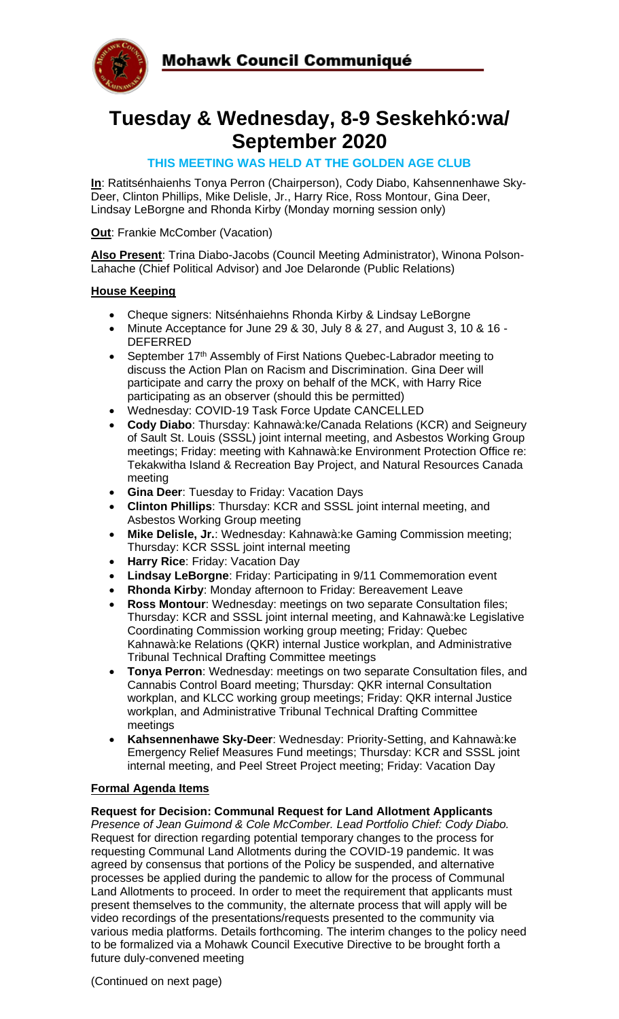

# **Tuesday & Wednesday, 8-9 Seskehkó:wa/ September 2020**

# **THIS MEETING WAS HELD AT THE GOLDEN AGE CLUB**

**In**: Ratitsénhaienhs Tonya Perron (Chairperson), Cody Diabo, Kahsennenhawe Sky-Deer, Clinton Phillips, Mike Delisle, Jr., Harry Rice, Ross Montour, Gina Deer, Lindsay LeBorgne and Rhonda Kirby (Monday morning session only)

**Out**: Frankie McComber (Vacation)

**Also Present**: Trina Diabo-Jacobs (Council Meeting Administrator), Winona Polson-Lahache (Chief Political Advisor) and Joe Delaronde (Public Relations)

## **House Keeping**

- Cheque signers: Nitsénhaiehns Rhonda Kirby & Lindsay LeBorgne
- Minute Acceptance for June 29 & 30, July 8 & 27, and August 3, 10 & 16 DEFERRED
- September 17<sup>th</sup> Assembly of First Nations Quebec-Labrador meeting to discuss the Action Plan on Racism and Discrimination. Gina Deer will participate and carry the proxy on behalf of the MCK, with Harry Rice participating as an observer (should this be permitted)
- Wednesday: COVID-19 Task Force Update CANCELLED
- **Cody Diabo**: Thursday: Kahnawà:ke/Canada Relations (KCR) and Seigneury of Sault St. Louis (SSSL) joint internal meeting, and Asbestos Working Group meetings; Friday: meeting with Kahnawà:ke Environment Protection Office re: Tekakwitha Island & Recreation Bay Project, and Natural Resources Canada meeting
- **Gina Deer**: Tuesday to Friday: Vacation Days
- **Clinton Phillips**: Thursday: KCR and SSSL joint internal meeting, and Asbestos Working Group meeting
- **Mike Delisle, Jr.**: Wednesday: Kahnawà:ke Gaming Commission meeting; Thursday: KCR SSSL joint internal meeting
- **Harry Rice**: Friday: Vacation Day
- **Lindsay LeBorgne**: Friday: Participating in 9/11 Commemoration event
- **Rhonda Kirby**: Monday afternoon to Friday: Bereavement Leave
- **Ross Montour**: Wednesday: meetings on two separate Consultation files; Thursday: KCR and SSSL joint internal meeting, and Kahnawà:ke Legislative Coordinating Commission working group meeting; Friday: Quebec Kahnawà:ke Relations (QKR) internal Justice workplan, and Administrative Tribunal Technical Drafting Committee meetings
- **Tonya Perron**: Wednesday: meetings on two separate Consultation files, and Cannabis Control Board meeting; Thursday: QKR internal Consultation workplan, and KLCC working group meetings; Friday: QKR internal Justice workplan, and Administrative Tribunal Technical Drafting Committee meetings
- **Kahsennenhawe Sky-Deer**: Wednesday: Priority-Setting, and Kahnawà:ke Emergency Relief Measures Fund meetings; Thursday: KCR and SSSL joint internal meeting, and Peel Street Project meeting; Friday: Vacation Day

## **Formal Agenda Items**

#### **Request for Decision: Communal Request for Land Allotment Applicants**

*Presence of Jean Guimond & Cole McComber. Lead Portfolio Chief: Cody Diabo.*  Request for direction regarding potential temporary changes to the process for requesting Communal Land Allotments during the COVID-19 pandemic. It was agreed by consensus that portions of the Policy be suspended, and alternative processes be applied during the pandemic to allow for the process of Communal Land Allotments to proceed. In order to meet the requirement that applicants must present themselves to the community, the alternate process that will apply will be video recordings of the presentations/requests presented to the community via various media platforms. Details forthcoming. The interim changes to the policy need to be formalized via a Mohawk Council Executive Directive to be brought forth a future duly-convened meeting

(Continued on next page)